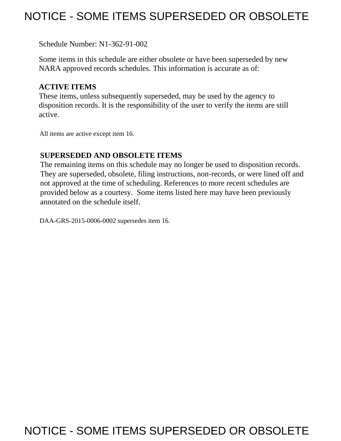# NOTICE - SOME ITEMS SUPERSEDED OR OBSOLETE

Schedule Number: N1-362-91-002

Some items in this schedule are either obsolete or have been superseded by new NARA approved records schedules. This information is accurate as of:

## **ACTIVE ITEMS**

These items, unless subsequently superseded, may be used by the agency to disposition records. It is the responsibility of the user to verify the items are still active.

All items are active except item 16.

# **SUPERSEDED AND OBSOLETE ITEMS**

 The remaining items on this schedule may no longer be used to disposition records. provided below as a courtesy. Some items listed here may have been previously They are superseded, obsolete, filing instructions, non-records, or were lined off and not approved at the time of scheduling. References to more recent schedules are annotated on the schedule itself.

DAA-GRS-2015-0006-0002 supersedes item 16.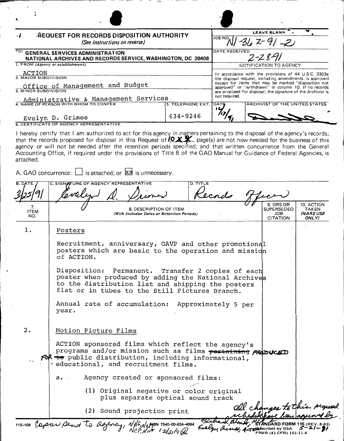| <b>ALQUEST FOR RECORDS DISPOSITION AUTHORITY</b><br>(See Instructions on reverse)                                                 |                        | LEAVE BLANK<br><b>JOB NO</b><br>$-362 - 91 - 21$                                                                                                                                                                                                                                                                 |  |  |
|-----------------------------------------------------------------------------------------------------------------------------------|------------------------|------------------------------------------------------------------------------------------------------------------------------------------------------------------------------------------------------------------------------------------------------------------------------------------------------------------|--|--|
| TO: GENERAL SERVICES ADMINISTRATION<br>NATIONAL ARCHIVES AND RECORDS SERVICE, WASHINGTON, DC 20408                                |                        | DATE RECEIVED<br>$2 - 28 - 1$                                                                                                                                                                                                                                                                                    |  |  |
| 1. FROM (Agency or establishment)                                                                                                 |                        | NOTIFICATION TO AGENCY                                                                                                                                                                                                                                                                                           |  |  |
| ACTION<br>2. MAJOR SUBDIVISION<br>Office of Management and Budget<br>3. MINOR SUBDIVISION<br>Administrative & Management Services |                        | In accordance with the provisions of 44 U.S.C. 3303a<br>the disposal request, including amendments, is approved<br>except for items that may be marked "disposition not<br>approved" or "withdrawn" in column 10. If no records<br>are proposed for disposal, the signature of the Archivist is<br>not required. |  |  |
| 4. NAME OF PERSON WITH WHOM TO CONFER                                                                                             | 5. TELEPHONE EXT. DATE | ARCHIVIST OF THE UNITED STATES                                                                                                                                                                                                                                                                                   |  |  |
| Evelyn D. Grimes                                                                                                                  | 634-9246               |                                                                                                                                                                                                                                                                                                                  |  |  |
| <b>6. CERTIFICATE OF AGENCY REPRESENTATIVE</b>                                                                                    |                        |                                                                                                                                                                                                                                                                                                                  |  |  |
|                                                                                                                                   |                        | I hereby certify that I am authorized to act for this agency in matters pertaining to the disposal of the agency's records;                                                                                                                                                                                      |  |  |

that the records proposed for disposal in this Request of *O X X* page(s) are not now needed for the business of this agency or will not be needed after the retention periods specified; and that written concurrence from the General Accounting Office, if required under the provisions of Title 8 of the GAO Manual for Guidance of Federal Agencies, is attached.

A. GAO concurrence:  $\square$  is attached; or  $\overline{\mathbf{X3}}$  is unnecessary.

|                          | A. GAO concurrence: $\Box$ is attached; or $\boxtimes$ is unnecessary.                                                                                                                                           |                                                 |                                                 |
|--------------------------|------------------------------------------------------------------------------------------------------------------------------------------------------------------------------------------------------------------|-------------------------------------------------|-------------------------------------------------|
|                          | C. SIGNOTURE OF AGENCY REPRESENTATIVE<br><b>D. TITLE</b><br>Kecado                                                                                                                                               |                                                 |                                                 |
| 7.<br><b>ITEM</b><br>NO. | 8. DESCRIPTION OF ITEM<br>(With Inclusive Dates or Retention Periods)                                                                                                                                            | 9. GRS OR<br>SUPERSEDED<br>JOB<br>CITATION      | 10. ACTION<br>TAKEN<br>INARS USE<br>ONLY)       |
| $1$ .                    | Posters                                                                                                                                                                                                          |                                                 |                                                 |
|                          | Recruitment, anniversary, OAVP and other promotional<br>posters which are basic to the operation and mission<br>of ACTION.                                                                                       |                                                 |                                                 |
|                          | Disposition: Permanent. Transfer 2 copies of each<br>poster when produced by adding the National Archives<br>to the distribution list and shipping the posters<br>flat or in tubes to the Still Pictures Branch. |                                                 |                                                 |
|                          | Annual rate of accumulation: Approximately 5 per<br>year.                                                                                                                                                        |                                                 |                                                 |
| 2.                       | Motion Picture Films                                                                                                                                                                                             |                                                 |                                                 |
|                          | ACTION sponsored films which reflect the agency's<br>programs and/or mission such as films pertaining propuceD<br>FOR to public distribution, including informational,<br>· educational, and recruitment films.  |                                                 |                                                 |
|                          | Agency created or sponsored films:<br>a.                                                                                                                                                                         |                                                 |                                                 |
|                          | (1) Original negative or color original<br>plus separate optical sound track                                                                                                                                     |                                                 |                                                 |
|                          | (2) Sound projection print                                                                                                                                                                                       |                                                 | all changes to this proposed                    |
|                          | 115-108 Capser pent to Day<br>gency, NNS, NABION 7540-00-634-4064                                                                                                                                                | Actor Escribed by GSA<br>FPMR (41 CFR) 101-11.4 | <b>RD FORM 115 (REV. 8-83)</b><br>$5 - 21 - 21$ |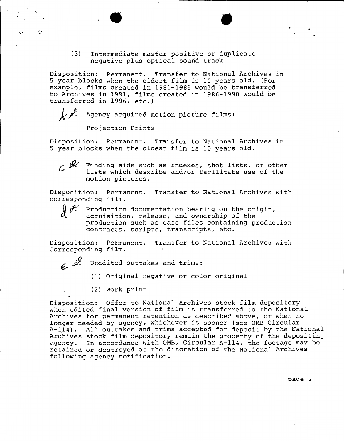(3) Intermediate master positive or duplicate negative plus optical sound track

 $\bullet$ 

Disposition: Permanent. Transfer to National Archives in 5 year blocks when the oldest film is 10 years old. (For example, films created in 1981-1985 would be transferred to Archives in 1991, films created in 1986-1990 would be transferred in 1996, etc.)

*k.* Agency acquired motion picture films:

Projection Prints

Disposition: Permanent. Transfer to National Archives in 5 year blocks when the oldest film is 10 years old.

 $\mathcal{L}$   $\mathcal{H}$  Finding aids such as indexes, shot lists, or other lists which desxribe and/or facilitate use of the motion pictures.

Disposition: Permanent. Transfer to National Archives with corresponding film.



Production documentation bearing on the origin, acquisition, release, and ownership of the production such as case files containing production contracts, scripts, transcripts, etc.

Disposition: Permanent. Transfer to National Archives with Corresponding film.

e. 3<sup>*y*</sup>. Unedited outtakes and trims:

(1) Original negative or color original

(2) Work print

Disposition: Offer to National Archives stock film depository when edited final version of film is transferred to the National Archives for permanent retention as described above, or when no longer needed by agency, whichever is sooner (see 0MB Circular A-114). All outtakes and trims accepted for deposit by the National Archives stock film depository remain the property of the depositing agency. In accordance with 0MB, Circular A-114, the footage may be retained or destroyed at the discretion of the National Archives following agency notification.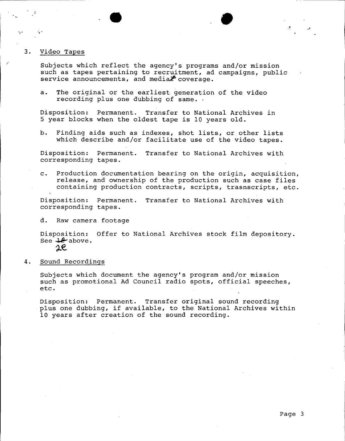#### 3. Video Tapes

Subjects which reflect the agency's programs and/or mission such as tapes pertaining to recruitment, ad campaigns, public service announcements, and media $\mathcal F$  coverage.

•

a. The original or the earliest generation of the video recording plus one dubbing of same.,

Disposition: Permanent. Transfer to National Archives in 5 year blocks when the oldest tape is 10 years old.

b. Finding aids such as indexes, shot lists, or other lists which describe and/or facilitate use of the video tapes.

Disposition: Permanent. Transfer to National Archives with corresponding tapes.

c. Production documentation bearing on the origin, acquisition, release, and ownership of the production such as case files containing production contracts, scripts, trasnscripts, etc.

Disposition: Permanent. Transfer to National Archives with corresponding tapes.

d. Raw camera footage

Disposition: Offer to National Archives stock film depository. See  $\ell$  above.  $2e$ 

4. Sound Recordings

Subjects which document the agency's program and/or mission such as promotional Ad Council radio spots, official speeches, etc.

Disposition: Permanent. Transfer original sound recording plus one dubbing, if available, to the National Archives within 10 years after creation of the sound recording.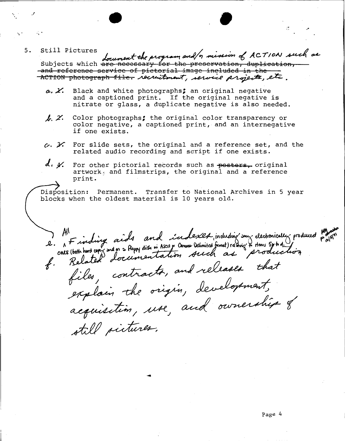5. Still Pictures , the worker week minimal ACTION such  $\frac{1}{100}$  and  $\frac{1}{100}$  the program and  $\frac{1}{2}$  mission of ACTION such as Subjects which are necessary for the preservation, duplication,<br>and reference service of pictorial image included in the —<br>ACTION photograph file. *Necultment, service projet*z, etc. and reference service of pictorial image included in the --

•

- a. X. Black and white photographs; an original negative and a captioned print. If the original negative is nitrate or glass, a duplicate negative is also needed.
- *J. 2.* Color photographs; the original color transparency or color negative, a captioned print, and an internegative if one exists.
- $c.$   $\chi$  For slide sets, the original and a reference set, and the related audio recording and script if one exists.
- **J., Y.** For other pictorial records such as **poctora,** original artwork<sub>\*</sub> and filmstrips, the original and a reference print.

Disposition: Permanent. Transfer to National Archives in 5 year blocks when the oldest material is 10 years old.

All<br>2. A Finding aids and indexer induding sur decremically produced profiled<br>ones (both hard con sad on a floopy dist in Assety Commo Delimited famet) relating & Homes Synta Living  $f(x)$ Related documentation, is released that explain the origin, development, acquisition, use, and ownership of still sietures.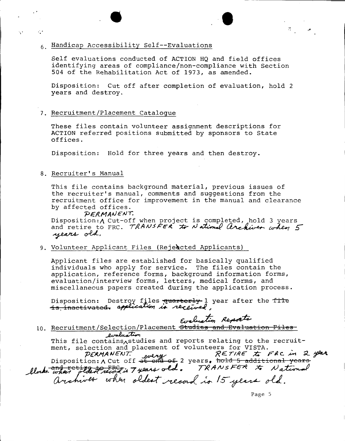# $\bullet$   $\bullet$ <sup>6</sup> . Handicap Accessibility Self--Evaluations

Self evaluations conducted of ACTION HQ and field offices identifying areas of compliance/non-compliance with Section 504 of the Rehabilitation Act of 1973, as amended.

Disposition: Cut off after completion of evaluation, hold 2 years and destroy.

#### 7. Recruitment/Placement Catalogue

These files contain volunteer assignment descriptions for ACTION referred positions submitted by sponsors to State offices.

Disposition: Hold for three years and then destroy.

#### 8. Recruiter's Manual

 $\sim 10$ 

This file contains background material, previous issues of the recruiter's manual, comments and suggestions from the recruitment office for improvement in the manual and clearance by affected offices.

#### **PERMANENT.**

Disposition: A Cut-off when project is completed, hold 3 years and PERMANENT.<br>Disposition: A Cut-off when project is completed, hold 3 years<br>and retire to FRC. *TRANSFER* to National Archiver when 5<br>years old.

9. Volunteer Applicant Files (Rejeected Applicants)

Applicant files are established for basically qualified individuals who apply for service. The files contain the application, reference forms, background information forms, evaluation/interview forms, letters, medical forms, and miscellaneous papers created during the application process.

Disposition: Destroy files **quarterly** 1 year after the file is inactivated, application is received. **terly** 1 year after the file<br>exeived,<br>Evaluation Reports<br>Studies and Evaluation Files

10. Recruitment/Selection/Placement election/Placement<br>*LunduaT*ion<br>tains<sub>A</sub>studies and

Lumbus This file contains<br>Astudies and reports relating to the recruit-<br>ment, selection and placement of volunteers for VISTA. This file contains, studies and reports relating to the recruit-<br>ment, selection and placement of volunteers for VISTA.<br>*PERMANENT.* every *RETIRE to FRC* in 2 year. ment, selection and placement of volunteers for VISTA.<br> *PERMANENT*: *guery*<br>
Disposition: A Cut off <del>at end of</del> 2 years, hold 5 additional years.<br>
and retixe to FPCs = a sumple TRANSFER & A stimul PERMANENT. werry RETIRE to FRC in 2 year<br>Disposition: A Cut off at end of 2 years. hold 5 additional years<br>Llock when placed record in Tyears old. TRANSFER to National

archives when oldest record is 15 years old.

Page 5

荒。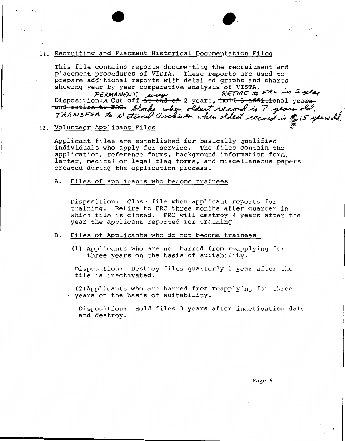#### 11. Recruiting and Placment Historical Documentation Files

•• •. . .,

This file contains reports documenting the recruitment and placement procedures of VISTA. These reports are used to prepare additional reports with detailed graphs and charts

showing year by year comparative analysis of VISTA.<br>PERMANENT. were RETIRE to FRC in I year prepare additional reports with detailed graphs and charts<br>showing year by year comparative analysis of VISTA.<br>*PERMANENT. Luery* RETIRE to Review of the proposition:/\ Cut off <del>at end of</del> 2 years. <del>hold 5 additional years</del> DISPOSITION: A CUL ULL AL END OF LIGHT RECORD in 7 years old.<br>TRANSFER to National archiver when oldest record in \$15 years old.

#### 12. Volunteer Applicant Files

Applicant files are established for basically qualified individuals who apply for service. The files contain the application, reference forms, background information form, letter, medical or legal flag forms, and miscellaneous papers created during the application process.

#### A. Files of applicants who become trainees

Disposition: Close file when applicant reports for training. Retire to FRC three months after quarter in which file is closed. FRC will destroy 4 years after the year the applicant reported for training.

#### B. Files of Applicants who do not become trainees

(1) Applicants who are not barred from reapplying for three years on the basis of suitability.

Disposition: Destroy files quarterly 1 year after the file is inactivated.

(2)Applicants who are barred from reapplying for three <sup>~</sup>years on the basis of suitability.

Disposition: Hold files 3 years after inactivation date and destroy.

,,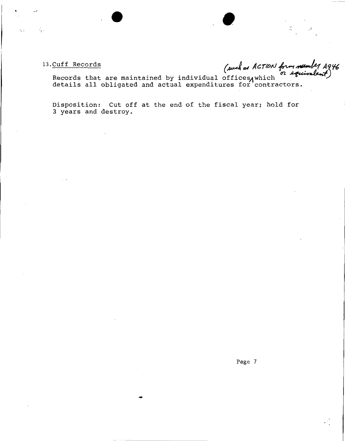√ģ.

13. <u>Cuff Records</u> (such as ACTION form number A946

•

Cuff Records<br>Records that are maintained by individual offices, which a squivalent)<br>details all obligated and actual expenditures for contractors.

Disposition: Cut off at the end of the fiscal year; hold for 3 years and destroy.

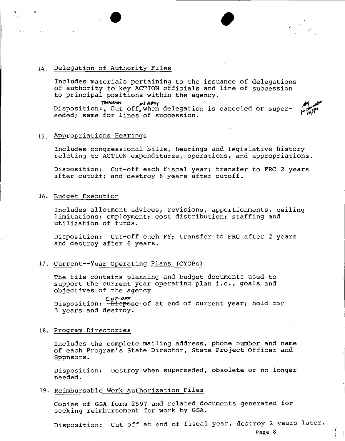#### 14. Delegation of Authority Files

Includes materials pertaining to the issuance of delegations of authority to key ACTION officials and line of succession to principal positions within the agency.<br>
TOMPORARY and dustroy

 $\bullet$  , and the set of  $\bullet$ 

THE TEMPORARY. **And dustroy and dustroy**<br>Disposition:, Cut off, when delegation is canceled or superseded; same for lines of succession.

#### 15. Appropriations Hearings

Includes congressional bills, hearings and legislative history relating to ACTION expenditures, operations, and appropriations.

Disposition: Cut-off each fiscal year; transfer to FRC 2 years after cutoff; and destroy 6 years after cutoff.

#### 16. Budget Execution

 $\mathbf{q}(\mathbf{x}) = \mathbf{q}(\mathbf{x})$  .

Includes allotment advices, revisions, apportionments, ceiling limitations; employment; cost distribution; staffing and utilization of funds.

Disposition: Cut-off each FY; transfer to FRC after 2 years and destroy after 6 years.

#### 17. Current--Year Operating Plans (CYOPs)

The file contains planning and budget documents used to support the current year operating plan i.e., goals and objectives of the agency

**Cvr-oFF**  Disposition: Dispose of at end of current year; hold for 3 years and destroy.

#### 18. Program Directories

Includes the complete mailing address, phone number and name of each Program's State Director, State Project Officer and Sppnsors.

Disposition: Destroy when superseded, obsolete or no longer needed.

#### 19. Reimbursable Work Authorization Files

Copies of GSA form 2597 and related documents generated for seeking reimbursement for work by GSA.

Disposition: cut off at end of fiscal year, destroy 2 years later.

Page 8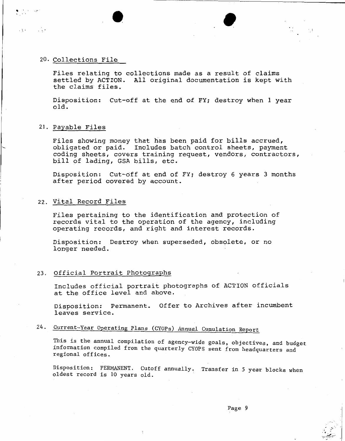#### 20. Collections File

Files relating to collections made as a result of claims settled by ACTION. All original documentation is kept with the claims files.

 $\bullet$ 

Disposition: Cut-off at the end of FY; destroy when 1 year old.

#### 21. Payable Files

Files showing money that has been paid for bills accrued, obligated or paid. Includes batch control sheets, payment coding sheets, covers training request, vendors, contractors, bill of lading, GSA bills, etc.

Disposition: Cut-off at end of FY; destroy 6 years 3 months after period covered by account.

#### 22. Vital Record Files

Files pertaining to the identification and protection of records vital to the operation of the agency, including operating records, and right and interest records.

Disposition: Destroy when superseded, obsolete, or no longer needed.

#### 23. Official Portrait Photographs

Includes official portrait photographs of ACTION officials at the office level and above.

Disposition: Permanent. Offer to Archives after incumbent leaves service.

### 24. Current-Year Operating Plans (CYOPs) Annual Cumulation Report

This is the annual compilation of agency-wide goals, objectives, and budget information compiled from the quarterly CYOPS sent from headquarters and regional offices.

Disposition: PERMANENT. Cutoff annually. Transfer in 5 year blocks when oldest record is 10 years old.

:,' ;.... *--~~-:~·* . ;